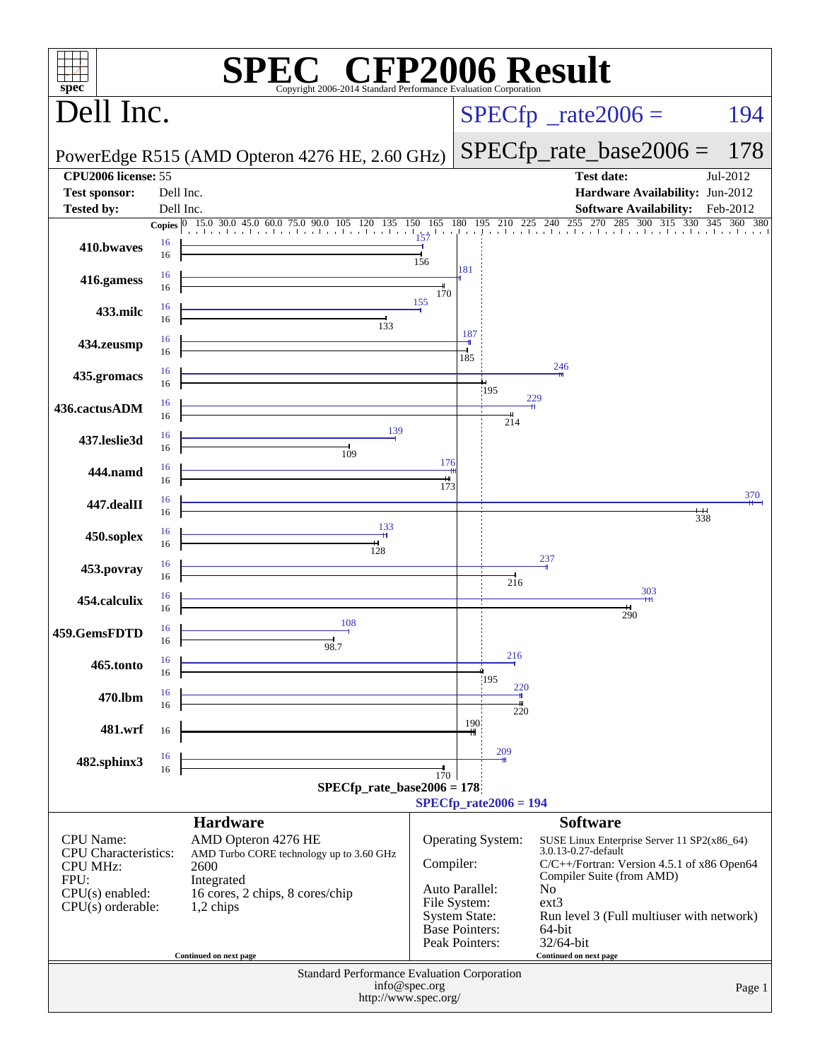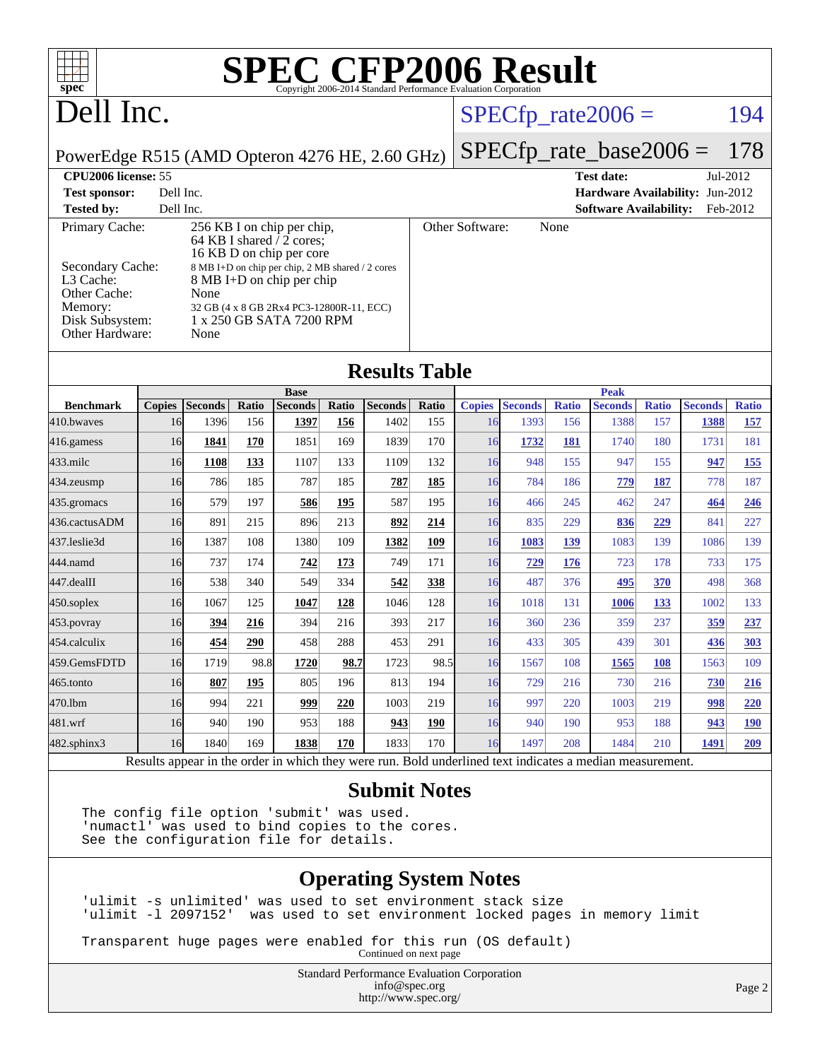| <b>SPEC CFP2006 Result</b><br>spec <sup>®</sup><br>Copyright 2006-2014 Standard Performance Evaluation Corporation                                                                                                                                                                                                                                                                                                     |    |                        |                   |                        |              |                        |              |                     |                        |                     |                        |                     |                        |                            |
|------------------------------------------------------------------------------------------------------------------------------------------------------------------------------------------------------------------------------------------------------------------------------------------------------------------------------------------------------------------------------------------------------------------------|----|------------------------|-------------------|------------------------|--------------|------------------------|--------------|---------------------|------------------------|---------------------|------------------------|---------------------|------------------------|----------------------------|
| Dell Inc.                                                                                                                                                                                                                                                                                                                                                                                                              |    |                        |                   |                        |              |                        |              |                     |                        |                     | $SPECfp_{rate}2006 =$  |                     |                        | 194                        |
| PowerEdge R515 (AMD Opteron 4276 HE, 2.60 GHz)                                                                                                                                                                                                                                                                                                                                                                         |    |                        |                   |                        |              |                        |              |                     |                        |                     |                        |                     | 178                    |                            |
| $SPECfp_rate\_base2006 =$<br><b>CPU2006</b> license: 55<br><b>Test date:</b><br>Jul-2012                                                                                                                                                                                                                                                                                                                               |    |                        |                   |                        |              |                        |              |                     |                        |                     |                        |                     |                        |                            |
| Dell Inc.<br>Hardware Availability: Jun-2012<br><b>Test sponsor:</b>                                                                                                                                                                                                                                                                                                                                                   |    |                        |                   |                        |              |                        |              |                     |                        |                     |                        |                     |                        |                            |
| Dell Inc.<br>Feb-2012<br><b>Tested by:</b><br><b>Software Availability:</b>                                                                                                                                                                                                                                                                                                                                            |    |                        |                   |                        |              |                        |              |                     |                        |                     |                        |                     |                        |                            |
| Other Software:<br>Primary Cache:<br>256 KB I on chip per chip,<br>None<br>64 KB I shared $\overline{2}$ cores;<br>16 KB D on chip per core<br>Secondary Cache:<br>8 MB I+D on chip per chip, 2 MB shared / 2 cores<br>L3 Cache:<br>8 MB I+D on chip per chip<br>Other Cache:<br>None<br>Memory:<br>32 GB (4 x 8 GB 2Rx4 PC3-12800R-11, ECC)<br>Disk Subsystem:<br>1 x 250 GB SATA 7200 RPM<br>Other Hardware:<br>None |    |                        |                   |                        |              |                        |              |                     |                        |                     |                        |                     |                        |                            |
| <b>Results Table</b>                                                                                                                                                                                                                                                                                                                                                                                                   |    |                        |                   |                        |              |                        |              |                     |                        |                     |                        |                     |                        |                            |
|                                                                                                                                                                                                                                                                                                                                                                                                                        |    |                        |                   | <b>Base</b>            |              |                        |              |                     |                        |                     | <b>Peak</b>            |                     |                        |                            |
| <b>Benchmark</b><br>410.bwaves                                                                                                                                                                                                                                                                                                                                                                                         | 16 | Copies Seconds<br>1396 | Ratio<br>156      | <b>Seconds</b><br>1397 | Ratio<br>156 | <b>Seconds</b><br>1402 | Ratio<br>155 | <b>Copies</b><br>16 | <b>Seconds</b><br>1393 | <b>Ratio</b><br>156 | <b>Seconds</b><br>1388 | <b>Ratio</b><br>157 | <b>Seconds</b><br>1388 | <b>Ratio</b><br><u>157</u> |
| $416$ .gamess                                                                                                                                                                                                                                                                                                                                                                                                          | 16 | 1841                   | 170               | 1851                   | 169          | 1839                   | 170          | 16                  | 1732                   | 181                 | 1740                   | 180                 | 1731                   | 181                        |
| 433.milc                                                                                                                                                                                                                                                                                                                                                                                                               | 16 | 1108                   | 133               | 1107                   | 133          | 1109                   | 132          | 16                  | 948                    | 155                 | 947                    | 155                 | 947                    | 155                        |
| 434.zeusmp                                                                                                                                                                                                                                                                                                                                                                                                             | 16 | 786                    | 185               | 787                    | 185          | <b>787</b>             | 185          | 16                  | 784                    | 186                 | 779                    | 187                 | 778                    | 187                        |
| 435.gromacs                                                                                                                                                                                                                                                                                                                                                                                                            | 16 | 579                    | 197               | 586                    | 195          | 587                    | 195          | 16                  | 466                    | 245                 | 462                    | 247                 | 464                    | 246                        |
| 436.cactusADM                                                                                                                                                                                                                                                                                                                                                                                                          | 16 | 891                    | 215               | 896                    | 213          | 892                    | 214          | 16                  | 835                    | 229                 | 836                    | <u>229</u>          | 841                    | 227                        |
| 437.leslie3d                                                                                                                                                                                                                                                                                                                                                                                                           | 16 | 1387                   | 108               | 1380                   | 109          | 1382                   | 109          | 16                  | 1083                   | <u>139</u>          | 1083                   | 139                 | 1086                   | 139                        |
| 444.namd                                                                                                                                                                                                                                                                                                                                                                                                               | 16 | 737                    | 174               | 742                    | 173          | 749                    | 171          | 16                  | 729                    | <b>176</b>          | 723                    | 178                 | 733                    | 175                        |
| 447.dealII                                                                                                                                                                                                                                                                                                                                                                                                             | 16 | 538                    | 340               | 549                    | 334          | 542                    | 338          | 16                  | 487                    | 376                 | 495                    | 370                 | 498                    | 368                        |
| $450$ .soplex                                                                                                                                                                                                                                                                                                                                                                                                          | 16 | 1067                   | 125               | 1047                   | 128          | 1046                   | 128          | 16                  | 1018                   | 131                 | <b>1006</b>            | <u>133</u>          | 1002                   | 133                        |
| $453$ .povray                                                                                                                                                                                                                                                                                                                                                                                                          | 16 | 394                    | 216               | 394                    | 216          | 393                    | 217          | 16                  | 360                    | 236                 | 359                    | 237                 | <u>359</u>             | 237                        |
| 454.calculix                                                                                                                                                                                                                                                                                                                                                                                                           | 16 | 454                    | $\underline{290}$ | 458                    | 288          | 453                    | 291          | 16                  | 433                    | 305                 | 439                    | 301                 | <u>436</u>             | 303                        |
| 459.GemsFDTD                                                                                                                                                                                                                                                                                                                                                                                                           | 16 | 1719                   | 98.8              | 1720                   | 98.7         | 1723                   | 98.5         | 16                  | 1567                   | 108                 | 1565                   | 108                 | 1563                   | 109                        |
| $465$ .tonto                                                                                                                                                                                                                                                                                                                                                                                                           | 16 | 807                    | <u>195</u>        | 805                    | 196          | 813                    | 194          | 16                  | 729                    | 216                 | 730                    | 216                 | <b>730</b>             | 216                        |
| 470.1bm                                                                                                                                                                                                                                                                                                                                                                                                                | 16 | 994                    | 221               | 999                    | 220          | 1003                   | 219          | 16                  | 997                    | 220                 | 1003                   | 219                 | 998                    | 220                        |
| 481.wrf                                                                                                                                                                                                                                                                                                                                                                                                                | 16 | 940                    | 190               | 953                    | 188          | 943                    | <u>190</u>   | 16                  | 940                    | 190                 | 953                    | 188                 | 943                    | <u>190</u>                 |
| 482.sphinx3                                                                                                                                                                                                                                                                                                                                                                                                            | 16 | 1840                   | 169               | 1838                   | 170          | 1833                   | 170          | 16                  | 1497                   | 208                 | 1484                   | 210                 | 1491                   | 209                        |
| Results appear in the order in which they were run. Bold underlined text indicates a median measurement.                                                                                                                                                                                                                                                                                                               |    |                        |                   |                        |              |                        |              |                     |                        |                     |                        |                     |                        |                            |

### **[Submit Notes](http://www.spec.org/auto/cpu2006/Docs/result-fields.html#SubmitNotes)**

The config file option 'submit' was used. 'numactl' was used to bind copies to the cores. See the configuration file for details.

## **[Operating System Notes](http://www.spec.org/auto/cpu2006/Docs/result-fields.html#OperatingSystemNotes)**

'ulimit -s unlimited' was used to set environment stack size 'ulimit -l 2097152' was used to set environment locked pages in memory limit

Transparent huge pages were enabled for this run (OS default) Continued on next page

> Standard Performance Evaluation Corporation [info@spec.org](mailto:info@spec.org) <http://www.spec.org/>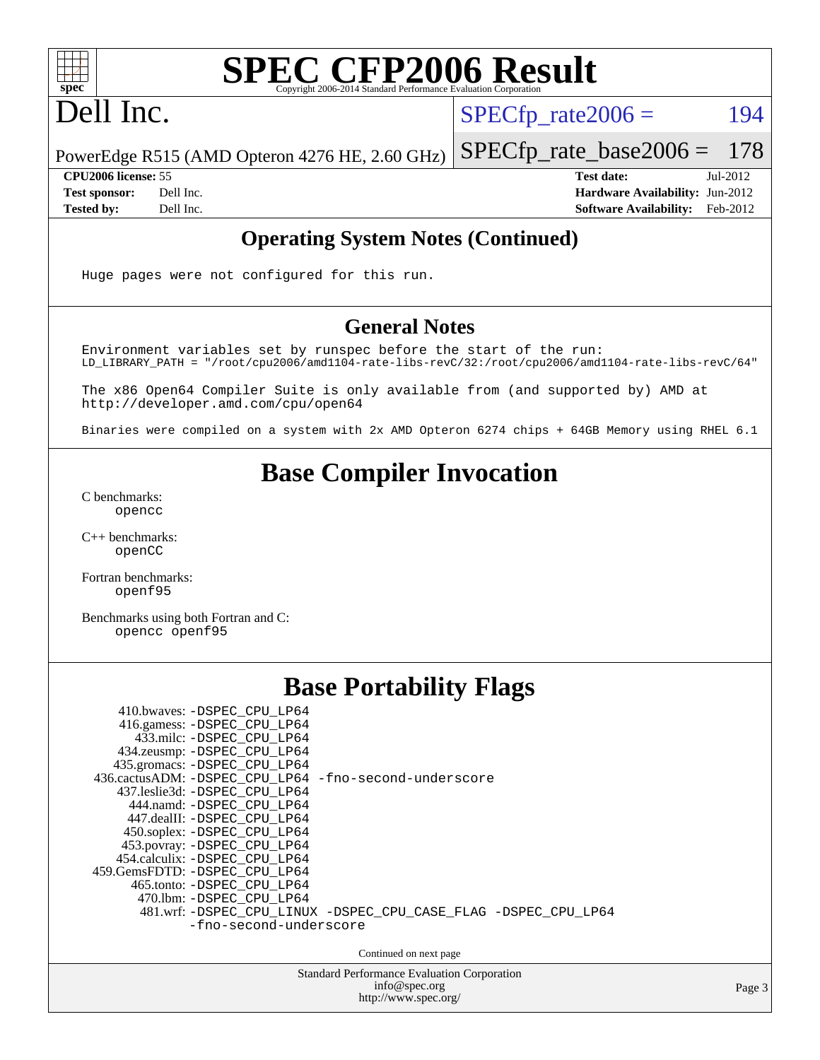

## Dell Inc.

 $SPECTp_rate2006 = 194$ 

PowerEdge R515 (AMD Opteron 4276 HE, 2.60 GHz) [SPECfp\\_rate\\_base2006 =](http://www.spec.org/auto/cpu2006/Docs/result-fields.html#SPECfpratebase2006) 178

**[CPU2006 license:](http://www.spec.org/auto/cpu2006/Docs/result-fields.html#CPU2006license)** 55 **[Test date:](http://www.spec.org/auto/cpu2006/Docs/result-fields.html#Testdate)** Jul-2012 **[Test sponsor:](http://www.spec.org/auto/cpu2006/Docs/result-fields.html#Testsponsor)** Dell Inc. **[Hardware Availability:](http://www.spec.org/auto/cpu2006/Docs/result-fields.html#HardwareAvailability)** Jun-2012 **[Tested by:](http://www.spec.org/auto/cpu2006/Docs/result-fields.html#Testedby)** Dell Inc. **[Software Availability:](http://www.spec.org/auto/cpu2006/Docs/result-fields.html#SoftwareAvailability)** Feb-2012

## **[Operating System Notes \(Continued\)](http://www.spec.org/auto/cpu2006/Docs/result-fields.html#OperatingSystemNotes)**

Huge pages were not configured for this run.

## **[General Notes](http://www.spec.org/auto/cpu2006/Docs/result-fields.html#GeneralNotes)**

Environment variables set by runspec before the start of the run: LD\_LIBRARY\_PATH = "/root/cpu2006/amd1104-rate-libs-revC/32:/root/cpu2006/amd1104-rate-libs-revC/64"

The x86 Open64 Compiler Suite is only available from (and supported by) AMD at <http://developer.amd.com/cpu/open64>

Binaries were compiled on a system with 2x AMD Opteron 6274 chips + 64GB Memory using RHEL 6.1

## **[Base Compiler Invocation](http://www.spec.org/auto/cpu2006/Docs/result-fields.html#BaseCompilerInvocation)**

[C benchmarks](http://www.spec.org/auto/cpu2006/Docs/result-fields.html#Cbenchmarks): [opencc](http://www.spec.org/cpu2006/results/res2012q3/cpu2006-20120730-23935.flags.html#user_CCbase_Fopencc)

[C++ benchmarks:](http://www.spec.org/auto/cpu2006/Docs/result-fields.html#CXXbenchmarks) [openCC](http://www.spec.org/cpu2006/results/res2012q3/cpu2006-20120730-23935.flags.html#user_CXXbase_FopenCC)

[Fortran benchmarks](http://www.spec.org/auto/cpu2006/Docs/result-fields.html#Fortranbenchmarks): [openf95](http://www.spec.org/cpu2006/results/res2012q3/cpu2006-20120730-23935.flags.html#user_FCbase_Fopenf95)

[Benchmarks using both Fortran and C](http://www.spec.org/auto/cpu2006/Docs/result-fields.html#BenchmarksusingbothFortranandC): [opencc](http://www.spec.org/cpu2006/results/res2012q3/cpu2006-20120730-23935.flags.html#user_CC_FCbase_Fopencc) [openf95](http://www.spec.org/cpu2006/results/res2012q3/cpu2006-20120730-23935.flags.html#user_CC_FCbase_Fopenf95)

| <b>Base Portability Flags</b>                                                              |  |  |  |  |  |  |  |  |
|--------------------------------------------------------------------------------------------|--|--|--|--|--|--|--|--|
| 410.bwaves: -DSPEC_CPU_LP64<br>416.gamess: -DSPEC_CPU_LP64                                 |  |  |  |  |  |  |  |  |
| 433.milc: -DSPEC CPU LP64<br>434.zeusmp: -DSPEC_CPU_LP64                                   |  |  |  |  |  |  |  |  |
| 435.gromacs: -DSPEC_CPU_LP64<br>436.cactusADM: -DSPEC_CPU_LP64 -fno-second-underscore      |  |  |  |  |  |  |  |  |
| 437.leslie3d: -DSPEC CPU LP64<br>444.namd: - DSPEC_CPU_LP64<br>447.dealII: -DSPEC CPU LP64 |  |  |  |  |  |  |  |  |
| 450.soplex: - DSPEC_CPU_LP64<br>453.povray: -DSPEC_CPU_LP64                                |  |  |  |  |  |  |  |  |
| 454.calculix: -DSPEC CPU LP64<br>459.GemsFDTD: -DSPEC CPU LP64                             |  |  |  |  |  |  |  |  |
| 465.tonto: -DSPEC CPU LP64<br>470.1bm: - DSPEC CPU LP64                                    |  |  |  |  |  |  |  |  |
| 481.wrf: -DSPEC_CPU_LINUX -DSPEC_CPU_CASE_FLAG -DSPEC_CPU_LP64<br>-fno-second-underscore   |  |  |  |  |  |  |  |  |
| Continued on next page                                                                     |  |  |  |  |  |  |  |  |
| <b>Standard Performance Evaluation Corporation</b><br>info@spec.org                        |  |  |  |  |  |  |  |  |

<http://www.spec.org/>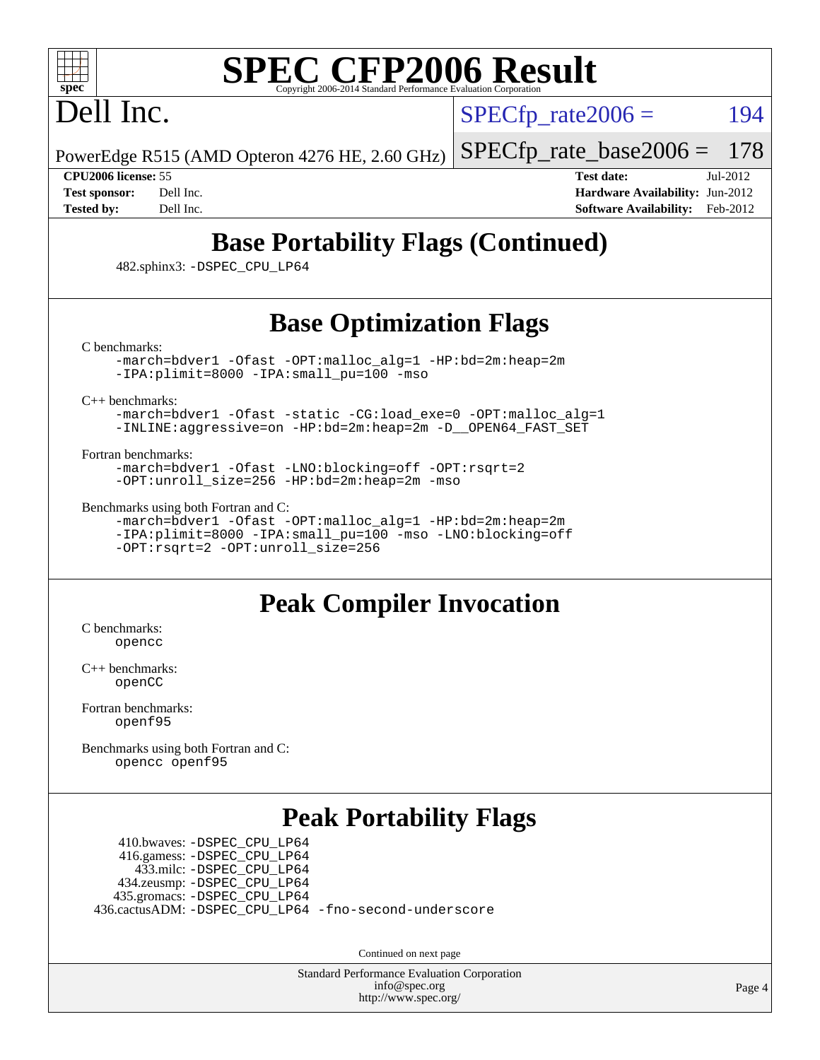## Dell Inc.

 $SPECTp\_rate2006 = 194$ 

PowerEdge R515 (AMD Opteron 4276 HE, 2.60 GHz)

[SPECfp\\_rate\\_base2006 =](http://www.spec.org/auto/cpu2006/Docs/result-fields.html#SPECfpratebase2006) 178

**[CPU2006 license:](http://www.spec.org/auto/cpu2006/Docs/result-fields.html#CPU2006license)** 55 **[Test date:](http://www.spec.org/auto/cpu2006/Docs/result-fields.html#Testdate)** Jul-2012 **[Test sponsor:](http://www.spec.org/auto/cpu2006/Docs/result-fields.html#Testsponsor)** Dell Inc. **[Hardware Availability:](http://www.spec.org/auto/cpu2006/Docs/result-fields.html#HardwareAvailability)** Jun-2012 **[Tested by:](http://www.spec.org/auto/cpu2006/Docs/result-fields.html#Testedby)** Dell Inc. **[Software Availability:](http://www.spec.org/auto/cpu2006/Docs/result-fields.html#SoftwareAvailability)** Feb-2012

## **[Base Portability Flags \(Continued\)](http://www.spec.org/auto/cpu2006/Docs/result-fields.html#BasePortabilityFlags)**

482.sphinx3: [-DSPEC\\_CPU\\_LP64](http://www.spec.org/cpu2006/results/res2012q3/cpu2006-20120730-23935.flags.html#suite_basePORTABILITY482_sphinx3_DSPEC_CPU_LP64)

## **[Base Optimization Flags](http://www.spec.org/auto/cpu2006/Docs/result-fields.html#BaseOptimizationFlags)**

[C benchmarks](http://www.spec.org/auto/cpu2006/Docs/result-fields.html#Cbenchmarks):

[-march=bdver1](http://www.spec.org/cpu2006/results/res2012q3/cpu2006-20120730-23935.flags.html#user_CCbase_F-march_fdb9f2653a6b3eaa60be4cf93a9ba5f3) [-Ofast](http://www.spec.org/cpu2006/results/res2012q3/cpu2006-20120730-23935.flags.html#user_CCbase_F-Ofast) [-OPT:malloc\\_alg=1](http://www.spec.org/cpu2006/results/res2012q3/cpu2006-20120730-23935.flags.html#user_CCbase_F-OPT:malloc_algorithm_58733815edefaa612c2ed769b716daa0) [-HP:bd=2m:heap=2m](http://www.spec.org/cpu2006/results/res2012q3/cpu2006-20120730-23935.flags.html#user_CCbase_F-HUGEPAGE_539c723a9f9bd1bd95cd839aeb740bae) [-IPA:plimit=8000](http://www.spec.org/cpu2006/results/res2012q3/cpu2006-20120730-23935.flags.html#user_CCbase_F-IPA:plimit_92cba83f3d47f09c7d5368fda93ddbd7) [-IPA:small\\_pu=100](http://www.spec.org/cpu2006/results/res2012q3/cpu2006-20120730-23935.flags.html#user_CCbase_F-IPA:small_pu_900a09767c6929d55c26ea3d32399996) [-mso](http://www.spec.org/cpu2006/results/res2012q3/cpu2006-20120730-23935.flags.html#user_CCbase_F-mso)

[C++ benchmarks:](http://www.spec.org/auto/cpu2006/Docs/result-fields.html#CXXbenchmarks)

[-march=bdver1](http://www.spec.org/cpu2006/results/res2012q3/cpu2006-20120730-23935.flags.html#user_CXXbase_F-march_fdb9f2653a6b3eaa60be4cf93a9ba5f3) [-Ofast](http://www.spec.org/cpu2006/results/res2012q3/cpu2006-20120730-23935.flags.html#user_CXXbase_F-Ofast) [-static](http://www.spec.org/cpu2006/results/res2012q3/cpu2006-20120730-23935.flags.html#user_CXXbase_F-static) [-CG:load\\_exe=0](http://www.spec.org/cpu2006/results/res2012q3/cpu2006-20120730-23935.flags.html#user_CXXbase_F-CG:load_exe_274d025dc8e91b4834366e9e44cd78e3) [-OPT:malloc\\_alg=1](http://www.spec.org/cpu2006/results/res2012q3/cpu2006-20120730-23935.flags.html#user_CXXbase_F-OPT:malloc_algorithm_58733815edefaa612c2ed769b716daa0) [-INLINE:aggressive=on](http://www.spec.org/cpu2006/results/res2012q3/cpu2006-20120730-23935.flags.html#user_CXXbase_F-INLINE:aggressive_e14807c0a1e56a6a83cb25ab07c7ae8a) [-HP:bd=2m:heap=2m](http://www.spec.org/cpu2006/results/res2012q3/cpu2006-20120730-23935.flags.html#user_CXXbase_F-HUGEPAGE_539c723a9f9bd1bd95cd839aeb740bae) [-D\\_\\_OPEN64\\_FAST\\_SET](http://www.spec.org/cpu2006/results/res2012q3/cpu2006-20120730-23935.flags.html#user_CXXbase_F-D__OPEN64_FAST_SET_294c6d8260f208640e5474aae24dc22e)

[Fortran benchmarks](http://www.spec.org/auto/cpu2006/Docs/result-fields.html#Fortranbenchmarks):

[-march=bdver1](http://www.spec.org/cpu2006/results/res2012q3/cpu2006-20120730-23935.flags.html#user_FCbase_F-march_fdb9f2653a6b3eaa60be4cf93a9ba5f3) [-Ofast](http://www.spec.org/cpu2006/results/res2012q3/cpu2006-20120730-23935.flags.html#user_FCbase_F-Ofast) [-LNO:blocking=off](http://www.spec.org/cpu2006/results/res2012q3/cpu2006-20120730-23935.flags.html#user_FCbase_F-LNO:blocking_806f5758a3ec85ed57cd5625787129f2) [-OPT:rsqrt=2](http://www.spec.org/cpu2006/results/res2012q3/cpu2006-20120730-23935.flags.html#user_FCbase_F-OPT:rsqrt_86267f9eadbaac77732db1e74eed7bf8) [-OPT:unroll\\_size=256](http://www.spec.org/cpu2006/results/res2012q3/cpu2006-20120730-23935.flags.html#user_FCbase_F-OPT:unroll_size_dfa492f42f50f580c3837c8b22d14f27) [-HP:bd=2m:heap=2m](http://www.spec.org/cpu2006/results/res2012q3/cpu2006-20120730-23935.flags.html#user_FCbase_F-HUGEPAGE_539c723a9f9bd1bd95cd839aeb740bae) [-mso](http://www.spec.org/cpu2006/results/res2012q3/cpu2006-20120730-23935.flags.html#user_FCbase_F-mso)

[Benchmarks using both Fortran and C](http://www.spec.org/auto/cpu2006/Docs/result-fields.html#BenchmarksusingbothFortranandC):

[-march=bdver1](http://www.spec.org/cpu2006/results/res2012q3/cpu2006-20120730-23935.flags.html#user_CC_FCbase_F-march_fdb9f2653a6b3eaa60be4cf93a9ba5f3) [-Ofast](http://www.spec.org/cpu2006/results/res2012q3/cpu2006-20120730-23935.flags.html#user_CC_FCbase_F-Ofast) [-OPT:malloc\\_alg=1](http://www.spec.org/cpu2006/results/res2012q3/cpu2006-20120730-23935.flags.html#user_CC_FCbase_F-OPT:malloc_algorithm_58733815edefaa612c2ed769b716daa0) [-HP:bd=2m:heap=2m](http://www.spec.org/cpu2006/results/res2012q3/cpu2006-20120730-23935.flags.html#user_CC_FCbase_F-HUGEPAGE_539c723a9f9bd1bd95cd839aeb740bae) [-IPA:plimit=8000](http://www.spec.org/cpu2006/results/res2012q3/cpu2006-20120730-23935.flags.html#user_CC_FCbase_F-IPA:plimit_92cba83f3d47f09c7d5368fda93ddbd7) [-IPA:small\\_pu=100](http://www.spec.org/cpu2006/results/res2012q3/cpu2006-20120730-23935.flags.html#user_CC_FCbase_F-IPA:small_pu_900a09767c6929d55c26ea3d32399996) [-mso](http://www.spec.org/cpu2006/results/res2012q3/cpu2006-20120730-23935.flags.html#user_CC_FCbase_F-mso) [-LNO:blocking=off](http://www.spec.org/cpu2006/results/res2012q3/cpu2006-20120730-23935.flags.html#user_CC_FCbase_F-LNO:blocking_806f5758a3ec85ed57cd5625787129f2) [-OPT:rsqrt=2](http://www.spec.org/cpu2006/results/res2012q3/cpu2006-20120730-23935.flags.html#user_CC_FCbase_F-OPT:rsqrt_86267f9eadbaac77732db1e74eed7bf8) [-OPT:unroll\\_size=256](http://www.spec.org/cpu2006/results/res2012q3/cpu2006-20120730-23935.flags.html#user_CC_FCbase_F-OPT:unroll_size_dfa492f42f50f580c3837c8b22d14f27)

## **[Peak Compiler Invocation](http://www.spec.org/auto/cpu2006/Docs/result-fields.html#PeakCompilerInvocation)**

[C benchmarks](http://www.spec.org/auto/cpu2006/Docs/result-fields.html#Cbenchmarks): [opencc](http://www.spec.org/cpu2006/results/res2012q3/cpu2006-20120730-23935.flags.html#user_CCpeak_Fopencc)

[C++ benchmarks:](http://www.spec.org/auto/cpu2006/Docs/result-fields.html#CXXbenchmarks) [openCC](http://www.spec.org/cpu2006/results/res2012q3/cpu2006-20120730-23935.flags.html#user_CXXpeak_FopenCC)

[Fortran benchmarks](http://www.spec.org/auto/cpu2006/Docs/result-fields.html#Fortranbenchmarks): [openf95](http://www.spec.org/cpu2006/results/res2012q3/cpu2006-20120730-23935.flags.html#user_FCpeak_Fopenf95)

[Benchmarks using both Fortran and C](http://www.spec.org/auto/cpu2006/Docs/result-fields.html#BenchmarksusingbothFortranandC): [opencc](http://www.spec.org/cpu2006/results/res2012q3/cpu2006-20120730-23935.flags.html#user_CC_FCpeak_Fopencc) [openf95](http://www.spec.org/cpu2006/results/res2012q3/cpu2006-20120730-23935.flags.html#user_CC_FCpeak_Fopenf95)

## **[Peak Portability Flags](http://www.spec.org/auto/cpu2006/Docs/result-fields.html#PeakPortabilityFlags)**

 410.bwaves: [-DSPEC\\_CPU\\_LP64](http://www.spec.org/cpu2006/results/res2012q3/cpu2006-20120730-23935.flags.html#suite_peakPORTABILITY410_bwaves_DSPEC_CPU_LP64) 416.gamess: [-DSPEC\\_CPU\\_LP64](http://www.spec.org/cpu2006/results/res2012q3/cpu2006-20120730-23935.flags.html#suite_peakPORTABILITY416_gamess_DSPEC_CPU_LP64) 433.milc: [-DSPEC\\_CPU\\_LP64](http://www.spec.org/cpu2006/results/res2012q3/cpu2006-20120730-23935.flags.html#suite_peakPORTABILITY433_milc_DSPEC_CPU_LP64) 434.zeusmp: [-DSPEC\\_CPU\\_LP64](http://www.spec.org/cpu2006/results/res2012q3/cpu2006-20120730-23935.flags.html#suite_peakPORTABILITY434_zeusmp_DSPEC_CPU_LP64) 435.gromacs: [-DSPEC\\_CPU\\_LP64](http://www.spec.org/cpu2006/results/res2012q3/cpu2006-20120730-23935.flags.html#suite_peakPORTABILITY435_gromacs_DSPEC_CPU_LP64) 436.cactusADM: [-DSPEC\\_CPU\\_LP64](http://www.spec.org/cpu2006/results/res2012q3/cpu2006-20120730-23935.flags.html#suite_peakPORTABILITY436_cactusADM_DSPEC_CPU_LP64) [-fno-second-underscore](http://www.spec.org/cpu2006/results/res2012q3/cpu2006-20120730-23935.flags.html#user_peakFPORTABILITY436_cactusADM_F-fno-second-underscore)

Continued on next page

Standard Performance Evaluation Corporation [info@spec.org](mailto:info@spec.org) <http://www.spec.org/>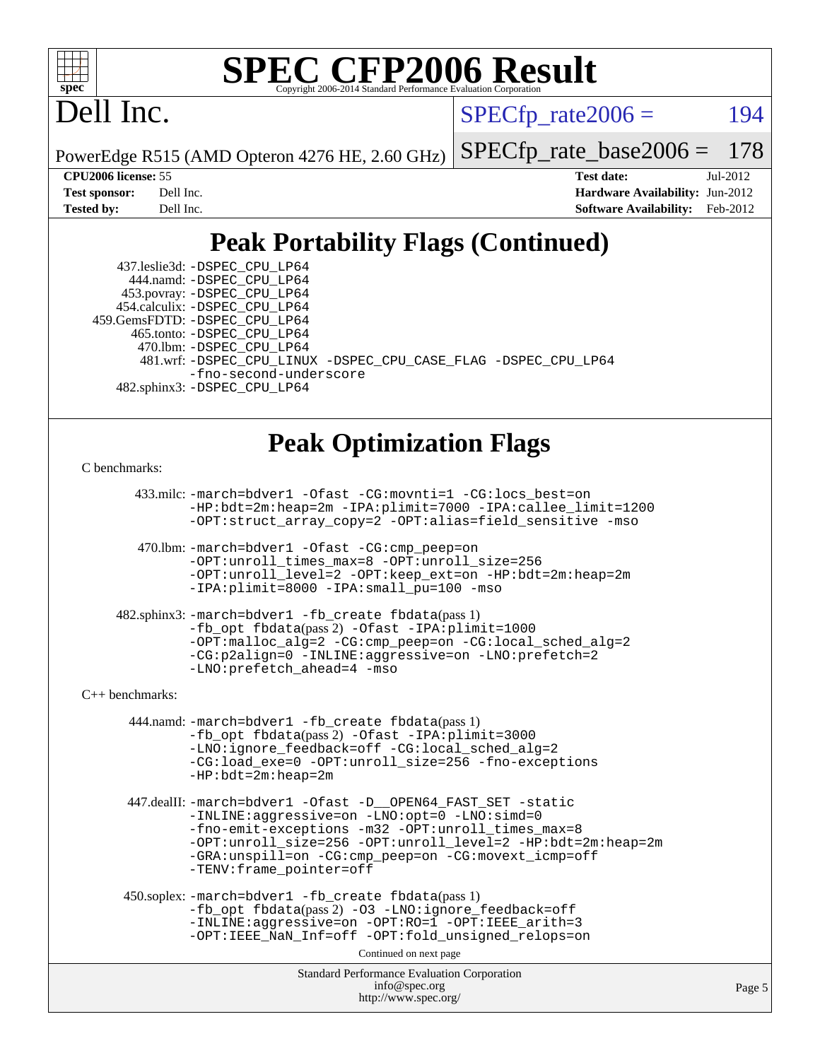

## Dell Inc.

 $SPECTp\_rate2006 = 194$ 

PowerEdge R515 (AMD Opteron 4276 HE, 2.60 GHz)

[SPECfp\\_rate\\_base2006 =](http://www.spec.org/auto/cpu2006/Docs/result-fields.html#SPECfpratebase2006) 178

**[CPU2006 license:](http://www.spec.org/auto/cpu2006/Docs/result-fields.html#CPU2006license)** 55 **[Test date:](http://www.spec.org/auto/cpu2006/Docs/result-fields.html#Testdate)** Jul-2012 **[Test sponsor:](http://www.spec.org/auto/cpu2006/Docs/result-fields.html#Testsponsor)** Dell Inc. **[Hardware Availability:](http://www.spec.org/auto/cpu2006/Docs/result-fields.html#HardwareAvailability)** Jun-2012 **[Tested by:](http://www.spec.org/auto/cpu2006/Docs/result-fields.html#Testedby)** Dell Inc. **[Software Availability:](http://www.spec.org/auto/cpu2006/Docs/result-fields.html#SoftwareAvailability)** Feb-2012

## **[Peak Portability Flags \(Continued\)](http://www.spec.org/auto/cpu2006/Docs/result-fields.html#PeakPortabilityFlags)**

 437.leslie3d: [-DSPEC\\_CPU\\_LP64](http://www.spec.org/cpu2006/results/res2012q3/cpu2006-20120730-23935.flags.html#suite_peakPORTABILITY437_leslie3d_DSPEC_CPU_LP64) 444.namd: [-DSPEC\\_CPU\\_LP64](http://www.spec.org/cpu2006/results/res2012q3/cpu2006-20120730-23935.flags.html#suite_peakPORTABILITY444_namd_DSPEC_CPU_LP64) 453.povray: [-DSPEC\\_CPU\\_LP64](http://www.spec.org/cpu2006/results/res2012q3/cpu2006-20120730-23935.flags.html#suite_peakPORTABILITY453_povray_DSPEC_CPU_LP64) 454.calculix: [-DSPEC\\_CPU\\_LP64](http://www.spec.org/cpu2006/results/res2012q3/cpu2006-20120730-23935.flags.html#suite_peakPORTABILITY454_calculix_DSPEC_CPU_LP64) 459.GemsFDTD: [-DSPEC\\_CPU\\_LP64](http://www.spec.org/cpu2006/results/res2012q3/cpu2006-20120730-23935.flags.html#suite_peakPORTABILITY459_GemsFDTD_DSPEC_CPU_LP64) 465.tonto: [-DSPEC\\_CPU\\_LP64](http://www.spec.org/cpu2006/results/res2012q3/cpu2006-20120730-23935.flags.html#suite_peakPORTABILITY465_tonto_DSPEC_CPU_LP64) 470.lbm: [-DSPEC\\_CPU\\_LP64](http://www.spec.org/cpu2006/results/res2012q3/cpu2006-20120730-23935.flags.html#suite_peakPORTABILITY470_lbm_DSPEC_CPU_LP64) 481.wrf: [-DSPEC\\_CPU\\_LINUX](http://www.spec.org/cpu2006/results/res2012q3/cpu2006-20120730-23935.flags.html#b481.wrf_peakPORTABILITY_DSPEC_CPU_LINUX) [-DSPEC\\_CPU\\_CASE\\_FLAG](http://www.spec.org/cpu2006/results/res2012q3/cpu2006-20120730-23935.flags.html#b481.wrf_peakPORTABILITY_DSPEC_CPU_CASE_FLAG) [-DSPEC\\_CPU\\_LP64](http://www.spec.org/cpu2006/results/res2012q3/cpu2006-20120730-23935.flags.html#suite_peakPORTABILITY481_wrf_DSPEC_CPU_LP64) [-fno-second-underscore](http://www.spec.org/cpu2006/results/res2012q3/cpu2006-20120730-23935.flags.html#user_peakFPORTABILITY481_wrf_F-fno-second-underscore) 482.sphinx3: [-DSPEC\\_CPU\\_LP64](http://www.spec.org/cpu2006/results/res2012q3/cpu2006-20120730-23935.flags.html#suite_peakPORTABILITY482_sphinx3_DSPEC_CPU_LP64)

## **[Peak Optimization Flags](http://www.spec.org/auto/cpu2006/Docs/result-fields.html#PeakOptimizationFlags)**

#### [C benchmarks](http://www.spec.org/auto/cpu2006/Docs/result-fields.html#Cbenchmarks):

 433.milc: [-march=bdver1](http://www.spec.org/cpu2006/results/res2012q3/cpu2006-20120730-23935.flags.html#user_peakCCLD433_milc_F-march_fdb9f2653a6b3eaa60be4cf93a9ba5f3) [-Ofast](http://www.spec.org/cpu2006/results/res2012q3/cpu2006-20120730-23935.flags.html#user_peakCOPTIMIZE433_milc_F-Ofast) [-CG:movnti=1](http://www.spec.org/cpu2006/results/res2012q3/cpu2006-20120730-23935.flags.html#user_peakCOPTIMIZE433_milc_F-CG:movnti_c5191dc1f6da57382570e339f0143b6b) [-CG:locs\\_best=on](http://www.spec.org/cpu2006/results/res2012q3/cpu2006-20120730-23935.flags.html#user_peakCOPTIMIZE433_milc_F-CG:locs_best_44bf6c0eb80ac6a9a061cf7622f6bbb4) [-HP:bdt=2m:heap=2m](http://www.spec.org/cpu2006/results/res2012q3/cpu2006-20120730-23935.flags.html#user_peakCOPTIMIZE433_milc_F-HUGEPAGE_855e97383b49831f390a2af16fe7202f) [-IPA:plimit=7000](http://www.spec.org/cpu2006/results/res2012q3/cpu2006-20120730-23935.flags.html#user_peakCOPTIMIZE433_milc_F-IPA:plimit_9ab6b7e2a03099d305c7c932a2b08e7b) [-IPA:callee\\_limit=1200](http://www.spec.org/cpu2006/results/res2012q3/cpu2006-20120730-23935.flags.html#user_peakCOPTIMIZE433_milc_F-IPA:callee_limit_84570d230861a5f7e1ef8b9d520820bd) [-OPT:struct\\_array\\_copy=2](http://www.spec.org/cpu2006/results/res2012q3/cpu2006-20120730-23935.flags.html#user_peakCOPTIMIZE433_milc_F-OPT:struct_array_copy_974d2ad8eca78b540f82de85c2718c76) [-OPT:alias=field\\_sensitive](http://www.spec.org/cpu2006/results/res2012q3/cpu2006-20120730-23935.flags.html#user_peakCOPTIMIZE433_milc_F-OPT:alias_5e8b0b9ccca45811fc77b81277beeeb6) [-mso](http://www.spec.org/cpu2006/results/res2012q3/cpu2006-20120730-23935.flags.html#user_peakCOPTIMIZE433_milc_F-mso)

 470.lbm: [-march=bdver1](http://www.spec.org/cpu2006/results/res2012q3/cpu2006-20120730-23935.flags.html#user_peakCCLD470_lbm_F-march_fdb9f2653a6b3eaa60be4cf93a9ba5f3) [-Ofast](http://www.spec.org/cpu2006/results/res2012q3/cpu2006-20120730-23935.flags.html#user_peakCOPTIMIZE470_lbm_F-Ofast) [-CG:cmp\\_peep=on](http://www.spec.org/cpu2006/results/res2012q3/cpu2006-20120730-23935.flags.html#user_peakCOPTIMIZE470_lbm_F-CG:cmp_peep_ab90c979e95bee1f1f617a32622424ed) [-OPT:unroll\\_times\\_max=8](http://www.spec.org/cpu2006/results/res2012q3/cpu2006-20120730-23935.flags.html#user_peakCOPTIMIZE470_lbm_F-OPT:unroll_times_max_1ad8852298ca2c36a68b2d007aae0e22) [-OPT:unroll\\_size=256](http://www.spec.org/cpu2006/results/res2012q3/cpu2006-20120730-23935.flags.html#user_peakCOPTIMIZE470_lbm_F-OPT:unroll_size_dfa492f42f50f580c3837c8b22d14f27) [-OPT:unroll\\_level=2](http://www.spec.org/cpu2006/results/res2012q3/cpu2006-20120730-23935.flags.html#user_peakCOPTIMIZE470_lbm_F-OPT:unroll_level_2cd767e66711a193dd7aad8ffe1e4d20) [-OPT:keep\\_ext=on](http://www.spec.org/cpu2006/results/res2012q3/cpu2006-20120730-23935.flags.html#user_peakCOPTIMIZE470_lbm_F-OPT:keep_ext_4dbb9969188886aadf10437ce9577910) [-HP:bdt=2m:heap=2m](http://www.spec.org/cpu2006/results/res2012q3/cpu2006-20120730-23935.flags.html#user_peakCOPTIMIZE470_lbm_F-HUGEPAGE_855e97383b49831f390a2af16fe7202f) [-IPA:plimit=8000](http://www.spec.org/cpu2006/results/res2012q3/cpu2006-20120730-23935.flags.html#user_peakCOPTIMIZE470_lbm_F-IPA:plimit_92cba83f3d47f09c7d5368fda93ddbd7) [-IPA:small\\_pu=100](http://www.spec.org/cpu2006/results/res2012q3/cpu2006-20120730-23935.flags.html#user_peakCOPTIMIZE470_lbm_F-IPA:small_pu_900a09767c6929d55c26ea3d32399996) [-mso](http://www.spec.org/cpu2006/results/res2012q3/cpu2006-20120730-23935.flags.html#user_peakCOPTIMIZE470_lbm_F-mso)

 482.sphinx3: [-march=bdver1](http://www.spec.org/cpu2006/results/res2012q3/cpu2006-20120730-23935.flags.html#user_peakCCLD482_sphinx3_F-march_fdb9f2653a6b3eaa60be4cf93a9ba5f3) [-fb\\_create fbdata](http://www.spec.org/cpu2006/results/res2012q3/cpu2006-20120730-23935.flags.html#user_peakPASS1_CFLAGSPASS1_LDFLAGS482_sphinx3_F-fb_create_filename)(pass 1) [-fb\\_opt fbdata](http://www.spec.org/cpu2006/results/res2012q3/cpu2006-20120730-23935.flags.html#user_peakPASS2_CFLAGSPASS2_LDFLAGS482_sphinx3_F-fb_opt_filename)(pass 2) [-Ofast](http://www.spec.org/cpu2006/results/res2012q3/cpu2006-20120730-23935.flags.html#user_peakCOPTIMIZE482_sphinx3_F-Ofast) [-IPA:plimit=1000](http://www.spec.org/cpu2006/results/res2012q3/cpu2006-20120730-23935.flags.html#user_peakCOPTIMIZE482_sphinx3_F-IPA:plimit_a21635e8c676b861cbb49424034e8738) [-OPT:malloc\\_alg=2](http://www.spec.org/cpu2006/results/res2012q3/cpu2006-20120730-23935.flags.html#user_peakCOPTIMIZE482_sphinx3_F-OPT:malloc_algorithm_e62903d0840423b2a5cd674766328c33) [-CG:cmp\\_peep=on](http://www.spec.org/cpu2006/results/res2012q3/cpu2006-20120730-23935.flags.html#user_peakCOPTIMIZE482_sphinx3_F-CG:cmp_peep_ab90c979e95bee1f1f617a32622424ed) [-CG:local\\_sched\\_alg=2](http://www.spec.org/cpu2006/results/res2012q3/cpu2006-20120730-23935.flags.html#user_peakCOPTIMIZE482_sphinx3_F-CG:local_sched_alg_7e9cde87db6e5e7117cdd873e1f958ca) [-CG:p2align=0](http://www.spec.org/cpu2006/results/res2012q3/cpu2006-20120730-23935.flags.html#user_peakCOPTIMIZE482_sphinx3_F-CG:p2align_f0b0486d75f2be7d5254cfc84ff9845e) [-INLINE:aggressive=on](http://www.spec.org/cpu2006/results/res2012q3/cpu2006-20120730-23935.flags.html#user_peakCOPTIMIZE482_sphinx3_F-INLINE:aggressive_e14807c0a1e56a6a83cb25ab07c7ae8a) [-LNO:prefetch=2](http://www.spec.org/cpu2006/results/res2012q3/cpu2006-20120730-23935.flags.html#user_peakCOPTIMIZE482_sphinx3_F-LNO:prefetch_9aee81855ba0592a3c8a40ba7b041143) [-LNO:prefetch\\_ahead=4](http://www.spec.org/cpu2006/results/res2012q3/cpu2006-20120730-23935.flags.html#user_peakCOPTIMIZE482_sphinx3_F-LNO:prefetch_ahead_8c6859a25238ee4458253845ce09b91d) [-mso](http://www.spec.org/cpu2006/results/res2012q3/cpu2006-20120730-23935.flags.html#user_peakCOPTIMIZE482_sphinx3_F-mso)

#### [C++ benchmarks:](http://www.spec.org/auto/cpu2006/Docs/result-fields.html#CXXbenchmarks)

 444.namd: [-march=bdver1](http://www.spec.org/cpu2006/results/res2012q3/cpu2006-20120730-23935.flags.html#user_peakCXXLD444_namd_F-march_fdb9f2653a6b3eaa60be4cf93a9ba5f3) [-fb\\_create fbdata](http://www.spec.org/cpu2006/results/res2012q3/cpu2006-20120730-23935.flags.html#user_peakPASS1_CXXFLAGSPASS1_LDFLAGS444_namd_F-fb_create_filename)(pass 1) [-fb\\_opt fbdata](http://www.spec.org/cpu2006/results/res2012q3/cpu2006-20120730-23935.flags.html#user_peakPASS2_CXXFLAGSPASS2_LDFLAGS444_namd_F-fb_opt_filename)(pass 2) [-Ofast](http://www.spec.org/cpu2006/results/res2012q3/cpu2006-20120730-23935.flags.html#user_peakCXXOPTIMIZE444_namd_F-Ofast) [-IPA:plimit=3000](http://www.spec.org/cpu2006/results/res2012q3/cpu2006-20120730-23935.flags.html#user_peakCXXOPTIMIZE444_namd_F-IPA:plimit_1271b34fa8b6ba660886afb001b0afe7) [-LNO:ignore\\_feedback=off](http://www.spec.org/cpu2006/results/res2012q3/cpu2006-20120730-23935.flags.html#user_peakCXXOPTIMIZE444_namd_F-LNO:ignore_feedback_1d6d06f39185b277a955c10dfd0a9a73) [-CG:local\\_sched\\_alg=2](http://www.spec.org/cpu2006/results/res2012q3/cpu2006-20120730-23935.flags.html#user_peakCXXOPTIMIZE444_namd_F-CG:local_sched_alg_7e9cde87db6e5e7117cdd873e1f958ca) [-CG:load\\_exe=0](http://www.spec.org/cpu2006/results/res2012q3/cpu2006-20120730-23935.flags.html#user_peakCXXOPTIMIZE444_namd_F-CG:load_exe_274d025dc8e91b4834366e9e44cd78e3) [-OPT:unroll\\_size=256](http://www.spec.org/cpu2006/results/res2012q3/cpu2006-20120730-23935.flags.html#user_peakCXXOPTIMIZE444_namd_F-OPT:unroll_size_dfa492f42f50f580c3837c8b22d14f27) [-fno-exceptions](http://www.spec.org/cpu2006/results/res2012q3/cpu2006-20120730-23935.flags.html#user_peakCXXOPTIMIZE444_namd_F-fexceptions) [-HP:bdt=2m:heap=2m](http://www.spec.org/cpu2006/results/res2012q3/cpu2006-20120730-23935.flags.html#user_peakCXXOPTIMIZE444_namd_F-HUGEPAGE_855e97383b49831f390a2af16fe7202f)

 447.dealII: [-march=bdver1](http://www.spec.org/cpu2006/results/res2012q3/cpu2006-20120730-23935.flags.html#user_peakCXXLD447_dealII_F-march_fdb9f2653a6b3eaa60be4cf93a9ba5f3) [-Ofast](http://www.spec.org/cpu2006/results/res2012q3/cpu2006-20120730-23935.flags.html#user_peakCXXOPTIMIZE447_dealII_F-Ofast) [-D\\_\\_OPEN64\\_FAST\\_SET](http://www.spec.org/cpu2006/results/res2012q3/cpu2006-20120730-23935.flags.html#user_peakCXXOPTIMIZE447_dealII_F-D__OPEN64_FAST_SET_294c6d8260f208640e5474aae24dc22e) [-static](http://www.spec.org/cpu2006/results/res2012q3/cpu2006-20120730-23935.flags.html#user_peakCXXOPTIMIZE447_dealII_F-static) [-INLINE:aggressive=on](http://www.spec.org/cpu2006/results/res2012q3/cpu2006-20120730-23935.flags.html#user_peakCXXOPTIMIZE447_dealII_F-INLINE:aggressive_e14807c0a1e56a6a83cb25ab07c7ae8a) [-LNO:opt=0](http://www.spec.org/cpu2006/results/res2012q3/cpu2006-20120730-23935.flags.html#user_peakCXXOPTIMIZE447_dealII_F-LNO:opt_b91e8b13d06f45039299c6496cc69a5f) [-LNO:simd=0](http://www.spec.org/cpu2006/results/res2012q3/cpu2006-20120730-23935.flags.html#user_peakCXXOPTIMIZE447_dealII_F-LNO:simd_fe5269a1a2b4239f5b10f7374245fa5e) [-fno-emit-exceptions](http://www.spec.org/cpu2006/results/res2012q3/cpu2006-20120730-23935.flags.html#user_peakCXXOPTIMIZE447_dealII_F-fno-emit-exceptions) [-m32](http://www.spec.org/cpu2006/results/res2012q3/cpu2006-20120730-23935.flags.html#user_peakCXXOPTIMIZE447_dealII_F-m32) [-OPT:unroll\\_times\\_max=8](http://www.spec.org/cpu2006/results/res2012q3/cpu2006-20120730-23935.flags.html#user_peakCXXOPTIMIZE447_dealII_F-OPT:unroll_times_max_1ad8852298ca2c36a68b2d007aae0e22) [-OPT:unroll\\_size=256](http://www.spec.org/cpu2006/results/res2012q3/cpu2006-20120730-23935.flags.html#user_peakCXXOPTIMIZE447_dealII_F-OPT:unroll_size_dfa492f42f50f580c3837c8b22d14f27) [-OPT:unroll\\_level=2](http://www.spec.org/cpu2006/results/res2012q3/cpu2006-20120730-23935.flags.html#user_peakCXXOPTIMIZE447_dealII_F-OPT:unroll_level_2cd767e66711a193dd7aad8ffe1e4d20) [-HP:bdt=2m:heap=2m](http://www.spec.org/cpu2006/results/res2012q3/cpu2006-20120730-23935.flags.html#user_peakCXXOPTIMIZE447_dealII_F-HUGEPAGE_855e97383b49831f390a2af16fe7202f) [-GRA:unspill=on](http://www.spec.org/cpu2006/results/res2012q3/cpu2006-20120730-23935.flags.html#user_peakCXXOPTIMIZE447_dealII_F-GRA:unspill_1a6c98043856890311246be72b057593) [-CG:cmp\\_peep=on](http://www.spec.org/cpu2006/results/res2012q3/cpu2006-20120730-23935.flags.html#user_peakCXXOPTIMIZE447_dealII_F-CG:cmp_peep_ab90c979e95bee1f1f617a32622424ed) [-CG:movext\\_icmp=off](http://www.spec.org/cpu2006/results/res2012q3/cpu2006-20120730-23935.flags.html#user_peakCXXOPTIMIZE447_dealII_F-CG:movext_icmp_460c980612b8c1bf4cfe85e9a0188f7b) [-TENV:frame\\_pointer=off](http://www.spec.org/cpu2006/results/res2012q3/cpu2006-20120730-23935.flags.html#user_peakCXXOPTIMIZE447_dealII_F-TENV:frame_pointer_2e92068e13bfe2cecb58286df627594f)

```
 450.soplex: -march=bdver1 -fb_create fbdata(pass 1)
-fb_opt fbdata(pass 2) -O3 -LNO:ignore_feedback=off
-INLINE:aggressive=on -OPT:RO=1 -OPT:IEEE_arith=3
-OPT:IEEE_NaN_Inf=off -OPT:fold_unsigned_relops=on
```
Continued on next page

```
Standard Performance Evaluation Corporation
      info@spec.org
   http://www.spec.org/
```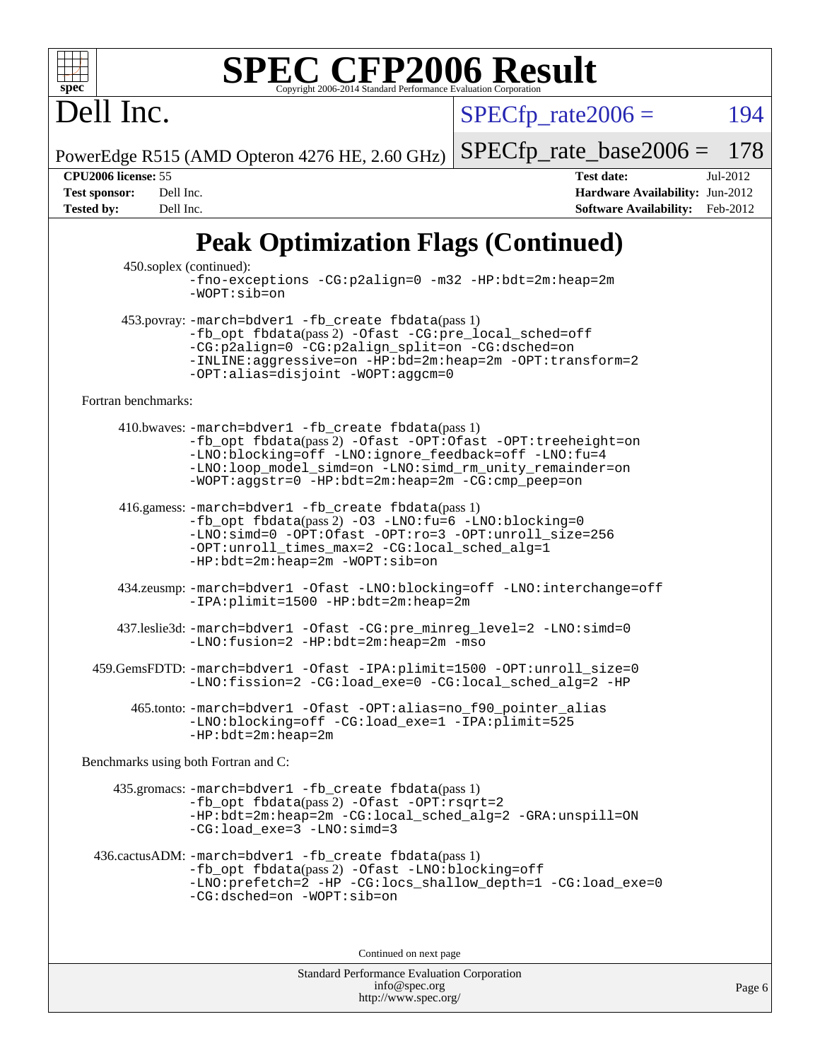Dell Inc.

 $SPECTp\_rate2006 = 194$ 

PowerEdge R515 (AMD Opteron 4276 HE, 2.60 GHz) [SPECfp\\_rate\\_base2006 =](http://www.spec.org/auto/cpu2006/Docs/result-fields.html#SPECfpratebase2006) 178

**[CPU2006 license:](http://www.spec.org/auto/cpu2006/Docs/result-fields.html#CPU2006license)** 55 **[Test date:](http://www.spec.org/auto/cpu2006/Docs/result-fields.html#Testdate)** Jul-2012 **[Test sponsor:](http://www.spec.org/auto/cpu2006/Docs/result-fields.html#Testsponsor)** Dell Inc. **[Hardware Availability:](http://www.spec.org/auto/cpu2006/Docs/result-fields.html#HardwareAvailability)** Jun-2012 **[Tested by:](http://www.spec.org/auto/cpu2006/Docs/result-fields.html#Testedby)** Dell Inc. **[Software Availability:](http://www.spec.org/auto/cpu2006/Docs/result-fields.html#SoftwareAvailability)** Feb-2012

## **[Peak Optimization Flags \(Continued\)](http://www.spec.org/auto/cpu2006/Docs/result-fields.html#PeakOptimizationFlags)**

 450.soplex (continued): [-fno-exceptions](http://www.spec.org/cpu2006/results/res2012q3/cpu2006-20120730-23935.flags.html#user_peakCXXOPTIMIZE450_soplex_F-fexceptions) [-CG:p2align=0](http://www.spec.org/cpu2006/results/res2012q3/cpu2006-20120730-23935.flags.html#user_peakCXXOPTIMIZE450_soplex_F-CG:p2align_f0b0486d75f2be7d5254cfc84ff9845e) [-m32](http://www.spec.org/cpu2006/results/res2012q3/cpu2006-20120730-23935.flags.html#user_peakCXXOPTIMIZE450_soplex_F-m32) [-HP:bdt=2m:heap=2m](http://www.spec.org/cpu2006/results/res2012q3/cpu2006-20120730-23935.flags.html#user_peakCXXOPTIMIZE450_soplex_F-HUGEPAGE_855e97383b49831f390a2af16fe7202f) [-WOPT:sib=on](http://www.spec.org/cpu2006/results/res2012q3/cpu2006-20120730-23935.flags.html#user_peakCXXOPTIMIZE450_soplex_F-WOPT:sib_922e769c7f0e2d4dff1b4919612a4b7b) 453.povray: [-march=bdver1](http://www.spec.org/cpu2006/results/res2012q3/cpu2006-20120730-23935.flags.html#user_peakCXXLD453_povray_F-march_fdb9f2653a6b3eaa60be4cf93a9ba5f3) [-fb\\_create fbdata](http://www.spec.org/cpu2006/results/res2012q3/cpu2006-20120730-23935.flags.html#user_peakPASS1_CXXFLAGSPASS1_LDFLAGS453_povray_F-fb_create_filename)(pass 1) [-fb\\_opt fbdata](http://www.spec.org/cpu2006/results/res2012q3/cpu2006-20120730-23935.flags.html#user_peakPASS2_CXXFLAGSPASS2_LDFLAGS453_povray_F-fb_opt_filename)(pass 2) [-Ofast](http://www.spec.org/cpu2006/results/res2012q3/cpu2006-20120730-23935.flags.html#user_peakCXXOPTIMIZE453_povray_F-Ofast) [-CG:pre\\_local\\_sched=off](http://www.spec.org/cpu2006/results/res2012q3/cpu2006-20120730-23935.flags.html#user_peakCXXOPTIMIZE453_povray_F-CG:pre_local_sched_7bb173f1e7fa183e34a713f624fd3d48) [-CG:p2align=0](http://www.spec.org/cpu2006/results/res2012q3/cpu2006-20120730-23935.flags.html#user_peakCXXOPTIMIZE453_povray_F-CG:p2align_f0b0486d75f2be7d5254cfc84ff9845e) [-CG:p2align\\_split=on](http://www.spec.org/cpu2006/results/res2012q3/cpu2006-20120730-23935.flags.html#user_peakCXXOPTIMIZE453_povray_F-CG:p2align_split_d3c870c09536e0050f2c4511144583c6) [-CG:dsched=on](http://www.spec.org/cpu2006/results/res2012q3/cpu2006-20120730-23935.flags.html#user_peakCXXOPTIMIZE453_povray_F-CG:dsched_25fd6bf9b1a971fa5ea06b24e400231d) [-INLINE:aggressive=on](http://www.spec.org/cpu2006/results/res2012q3/cpu2006-20120730-23935.flags.html#user_peakCXXOPTIMIZE453_povray_F-INLINE:aggressive_e14807c0a1e56a6a83cb25ab07c7ae8a) [-HP:bd=2m:heap=2m](http://www.spec.org/cpu2006/results/res2012q3/cpu2006-20120730-23935.flags.html#user_peakCXXOPTIMIZE453_povray_F-HUGEPAGE_539c723a9f9bd1bd95cd839aeb740bae) [-OPT:transform=2](http://www.spec.org/cpu2006/results/res2012q3/cpu2006-20120730-23935.flags.html#user_peakCXXOPTIMIZE453_povray_F-OPT:transform_77d6ba2bcf219650ff666b5f6fc3337f) [-OPT:alias=disjoint](http://www.spec.org/cpu2006/results/res2012q3/cpu2006-20120730-23935.flags.html#user_peakCXXOPTIMIZE453_povray_F-OPT:alias_af85d624bc8c113f27b06a81a9df063d) [-WOPT:aggcm=0](http://www.spec.org/cpu2006/results/res2012q3/cpu2006-20120730-23935.flags.html#user_peakCXXOPTIMIZE453_povray_F-WOPT:aggcm_b337dc970a129b82f6cf4a641df841eb) [Fortran benchmarks](http://www.spec.org/auto/cpu2006/Docs/result-fields.html#Fortranbenchmarks): 410.bwaves: [-march=bdver1](http://www.spec.org/cpu2006/results/res2012q3/cpu2006-20120730-23935.flags.html#user_peakFCLD410_bwaves_F-march_fdb9f2653a6b3eaa60be4cf93a9ba5f3) [-fb\\_create fbdata](http://www.spec.org/cpu2006/results/res2012q3/cpu2006-20120730-23935.flags.html#user_peakPASS1_FFLAGSPASS1_LDFLAGS410_bwaves_F-fb_create_filename)(pass 1) [-fb\\_opt fbdata](http://www.spec.org/cpu2006/results/res2012q3/cpu2006-20120730-23935.flags.html#user_peakPASS2_FFLAGSPASS2_LDFLAGS410_bwaves_F-fb_opt_filename)(pass 2) [-Ofast](http://www.spec.org/cpu2006/results/res2012q3/cpu2006-20120730-23935.flags.html#user_peakFOPTIMIZE410_bwaves_F-Ofast) [-OPT:Ofast](http://www.spec.org/cpu2006/results/res2012q3/cpu2006-20120730-23935.flags.html#user_peakFOPTIMIZE410_bwaves_F-OPT:Ofast) [-OPT:treeheight=on](http://www.spec.org/cpu2006/results/res2012q3/cpu2006-20120730-23935.flags.html#user_peakFOPTIMIZE410_bwaves_F-OPT:treeheight_cfc70e9aefb9f92101ba198ff7377f7c) [-LNO:blocking=off](http://www.spec.org/cpu2006/results/res2012q3/cpu2006-20120730-23935.flags.html#user_peakFOPTIMIZE410_bwaves_F-LNO:blocking_806f5758a3ec85ed57cd5625787129f2) [-LNO:ignore\\_feedback=off](http://www.spec.org/cpu2006/results/res2012q3/cpu2006-20120730-23935.flags.html#user_peakFOPTIMIZE410_bwaves_F-LNO:ignore_feedback_1d6d06f39185b277a955c10dfd0a9a73) [-LNO:fu=4](http://www.spec.org/cpu2006/results/res2012q3/cpu2006-20120730-23935.flags.html#user_peakFOPTIMIZE410_bwaves_F-LNO:full_unroll_1b24e063ced7eac4cde39ed4795d4acc) [-LNO:loop\\_model\\_simd=on](http://www.spec.org/cpu2006/results/res2012q3/cpu2006-20120730-23935.flags.html#user_peakFOPTIMIZE410_bwaves_F-LNO:loop_model_simd_3cf34eca93fb340105f75f1c09e0ffcf) [-LNO:simd\\_rm\\_unity\\_remainder=on](http://www.spec.org/cpu2006/results/res2012q3/cpu2006-20120730-23935.flags.html#user_peakFOPTIMIZE410_bwaves_F-LNO:simd_rm_unity_remainder_167c8b757674ca9cdefbef1e9aa40ef1) [-WOPT:aggstr=0](http://www.spec.org/cpu2006/results/res2012q3/cpu2006-20120730-23935.flags.html#user_peakFOPTIMIZE410_bwaves_F-WOPT:aggstr_e9f678663e612582e440992a3901d0b4) [-HP:bdt=2m:heap=2m](http://www.spec.org/cpu2006/results/res2012q3/cpu2006-20120730-23935.flags.html#user_peakFOPTIMIZE410_bwaves_F-HUGEPAGE_855e97383b49831f390a2af16fe7202f) [-CG:cmp\\_peep=on](http://www.spec.org/cpu2006/results/res2012q3/cpu2006-20120730-23935.flags.html#user_peakFOPTIMIZE410_bwaves_F-CG:cmp_peep_ab90c979e95bee1f1f617a32622424ed) 416.gamess: [-march=bdver1](http://www.spec.org/cpu2006/results/res2012q3/cpu2006-20120730-23935.flags.html#user_peakFCLD416_gamess_F-march_fdb9f2653a6b3eaa60be4cf93a9ba5f3) [-fb\\_create fbdata](http://www.spec.org/cpu2006/results/res2012q3/cpu2006-20120730-23935.flags.html#user_peakPASS1_FFLAGSPASS1_LDFLAGS416_gamess_F-fb_create_filename)(pass 1) [-fb\\_opt fbdata](http://www.spec.org/cpu2006/results/res2012q3/cpu2006-20120730-23935.flags.html#user_peakPASS2_FFLAGSPASS2_LDFLAGS416_gamess_F-fb_opt_filename)(pass 2) [-O3](http://www.spec.org/cpu2006/results/res2012q3/cpu2006-20120730-23935.flags.html#user_peakFOPTIMIZE416_gamess_F-O3) [-LNO:fu=6](http://www.spec.org/cpu2006/results/res2012q3/cpu2006-20120730-23935.flags.html#user_peakFOPTIMIZE416_gamess_F-LNO:full_unroll_3286c2d175e5cd3c391f9ebb1917057c) [-LNO:blocking=0](http://www.spec.org/cpu2006/results/res2012q3/cpu2006-20120730-23935.flags.html#user_peakFOPTIMIZE416_gamess_F-LNO:blocking_f05bf6a7a6c1d0fdc72c448778ff5994) [-LNO:simd=0](http://www.spec.org/cpu2006/results/res2012q3/cpu2006-20120730-23935.flags.html#user_peakFOPTIMIZE416_gamess_F-LNO:simd_fe5269a1a2b4239f5b10f7374245fa5e) [-OPT:Ofast](http://www.spec.org/cpu2006/results/res2012q3/cpu2006-20120730-23935.flags.html#user_peakFOPTIMIZE416_gamess_F-OPT:Ofast) [-OPT:ro=3](http://www.spec.org/cpu2006/results/res2012q3/cpu2006-20120730-23935.flags.html#user_peakFOPTIMIZE416_gamess_F-OPT:ro_df424ac2b688fef46f512566ef2e1c44) [-OPT:unroll\\_size=256](http://www.spec.org/cpu2006/results/res2012q3/cpu2006-20120730-23935.flags.html#user_peakFOPTIMIZE416_gamess_F-OPT:unroll_size_dfa492f42f50f580c3837c8b22d14f27) [-OPT:unroll\\_times\\_max=2](http://www.spec.org/cpu2006/results/res2012q3/cpu2006-20120730-23935.flags.html#user_peakFOPTIMIZE416_gamess_F-OPT:unroll_times_max_3bd972bae0d5d80e86ed58378fb48c02) [-CG:local\\_sched\\_alg=1](http://www.spec.org/cpu2006/results/res2012q3/cpu2006-20120730-23935.flags.html#user_peakFOPTIMIZE416_gamess_F-CG:local_sched_alg_2175ca61f1a2717f1ec57b14995b9e7a) [-HP:bdt=2m:heap=2m](http://www.spec.org/cpu2006/results/res2012q3/cpu2006-20120730-23935.flags.html#user_peakFOPTIMIZE416_gamess_F-HUGEPAGE_855e97383b49831f390a2af16fe7202f) [-WOPT:sib=on](http://www.spec.org/cpu2006/results/res2012q3/cpu2006-20120730-23935.flags.html#user_peakFOPTIMIZE416_gamess_F-WOPT:sib_922e769c7f0e2d4dff1b4919612a4b7b) 434.zeusmp: [-march=bdver1](http://www.spec.org/cpu2006/results/res2012q3/cpu2006-20120730-23935.flags.html#user_peakFCLD434_zeusmp_F-march_fdb9f2653a6b3eaa60be4cf93a9ba5f3) [-Ofast](http://www.spec.org/cpu2006/results/res2012q3/cpu2006-20120730-23935.flags.html#user_peakFOPTIMIZE434_zeusmp_F-Ofast) [-LNO:blocking=off](http://www.spec.org/cpu2006/results/res2012q3/cpu2006-20120730-23935.flags.html#user_peakFOPTIMIZE434_zeusmp_F-LNO:blocking_806f5758a3ec85ed57cd5625787129f2) [-LNO:interchange=off](http://www.spec.org/cpu2006/results/res2012q3/cpu2006-20120730-23935.flags.html#user_peakFOPTIMIZE434_zeusmp_F-LNO:interchange_57130197a319ddd7676aad2280bcb1be) [-IPA:plimit=1500](http://www.spec.org/cpu2006/results/res2012q3/cpu2006-20120730-23935.flags.html#user_peakFOPTIMIZE434_zeusmp_F-IPA:plimit_5b3b8bfa9af4885eba17b689e05d6f59) [-HP:bdt=2m:heap=2m](http://www.spec.org/cpu2006/results/res2012q3/cpu2006-20120730-23935.flags.html#user_peakFOPTIMIZE434_zeusmp_F-HUGEPAGE_855e97383b49831f390a2af16fe7202f) 437.leslie3d: [-march=bdver1](http://www.spec.org/cpu2006/results/res2012q3/cpu2006-20120730-23935.flags.html#user_peakFCLD437_leslie3d_F-march_fdb9f2653a6b3eaa60be4cf93a9ba5f3) [-Ofast](http://www.spec.org/cpu2006/results/res2012q3/cpu2006-20120730-23935.flags.html#user_peakFOPTIMIZE437_leslie3d_F-Ofast) [-CG:pre\\_minreg\\_level=2](http://www.spec.org/cpu2006/results/res2012q3/cpu2006-20120730-23935.flags.html#user_peakFOPTIMIZE437_leslie3d_F-CG:pre_minreg_level_7a4f6ecddb7c61e5a5fb2e3c8bb4dd9d) [-LNO:simd=0](http://www.spec.org/cpu2006/results/res2012q3/cpu2006-20120730-23935.flags.html#user_peakFOPTIMIZE437_leslie3d_F-LNO:simd_fe5269a1a2b4239f5b10f7374245fa5e) [-LNO:fusion=2](http://www.spec.org/cpu2006/results/res2012q3/cpu2006-20120730-23935.flags.html#user_peakFOPTIMIZE437_leslie3d_F-LNO:fusion_522097e09e21de5ea3aaa2b17dc4a88d) [-HP:bdt=2m:heap=2m](http://www.spec.org/cpu2006/results/res2012q3/cpu2006-20120730-23935.flags.html#user_peakFOPTIMIZE437_leslie3d_F-HUGEPAGE_855e97383b49831f390a2af16fe7202f) [-mso](http://www.spec.org/cpu2006/results/res2012q3/cpu2006-20120730-23935.flags.html#user_peakFOPTIMIZE437_leslie3d_F-mso) 459.GemsFDTD: [-march=bdver1](http://www.spec.org/cpu2006/results/res2012q3/cpu2006-20120730-23935.flags.html#user_peakFCLD459_GemsFDTD_F-march_fdb9f2653a6b3eaa60be4cf93a9ba5f3) [-Ofast](http://www.spec.org/cpu2006/results/res2012q3/cpu2006-20120730-23935.flags.html#user_peakFOPTIMIZE459_GemsFDTD_F-Ofast) [-IPA:plimit=1500](http://www.spec.org/cpu2006/results/res2012q3/cpu2006-20120730-23935.flags.html#user_peakFOPTIMIZE459_GemsFDTD_F-IPA:plimit_5b3b8bfa9af4885eba17b689e05d6f59) [-OPT:unroll\\_size=0](http://www.spec.org/cpu2006/results/res2012q3/cpu2006-20120730-23935.flags.html#user_peakFOPTIMIZE459_GemsFDTD_F-OPT:unroll_size_6939dd22ebf423d79b6783a123c6b33c) [-LNO:fission=2](http://www.spec.org/cpu2006/results/res2012q3/cpu2006-20120730-23935.flags.html#user_peakFOPTIMIZE459_GemsFDTD_F-LNO:fission_5cab2649267e6bc8b61d14b4fdbc5ab6) [-CG:load\\_exe=0](http://www.spec.org/cpu2006/results/res2012q3/cpu2006-20120730-23935.flags.html#user_peakFOPTIMIZE459_GemsFDTD_F-CG:load_exe_274d025dc8e91b4834366e9e44cd78e3) [-CG:local\\_sched\\_alg=2](http://www.spec.org/cpu2006/results/res2012q3/cpu2006-20120730-23935.flags.html#user_peakFOPTIMIZE459_GemsFDTD_F-CG:local_sched_alg_7e9cde87db6e5e7117cdd873e1f958ca) [-HP](http://www.spec.org/cpu2006/results/res2012q3/cpu2006-20120730-23935.flags.html#user_peakFOPTIMIZE459_GemsFDTD_F-HUGEPAGE_5df7ddc958063186306345596c5e7dc3) 465.tonto: [-march=bdver1](http://www.spec.org/cpu2006/results/res2012q3/cpu2006-20120730-23935.flags.html#user_peakFCLD465_tonto_F-march_fdb9f2653a6b3eaa60be4cf93a9ba5f3) [-Ofast](http://www.spec.org/cpu2006/results/res2012q3/cpu2006-20120730-23935.flags.html#user_peakFOPTIMIZE465_tonto_F-Ofast) [-OPT:alias=no\\_f90\\_pointer\\_alias](http://www.spec.org/cpu2006/results/res2012q3/cpu2006-20120730-23935.flags.html#user_peakFOPTIMIZE465_tonto_F-OPT:alias_a4006d692d10b56b990dc3fe885185f9) [-LNO:blocking=off](http://www.spec.org/cpu2006/results/res2012q3/cpu2006-20120730-23935.flags.html#user_peakFOPTIMIZE465_tonto_F-LNO:blocking_806f5758a3ec85ed57cd5625787129f2) [-CG:load\\_exe=1](http://www.spec.org/cpu2006/results/res2012q3/cpu2006-20120730-23935.flags.html#user_peakFOPTIMIZE465_tonto_F-CG:load_exe_77a6962273ab47aafb0b0d5d0a5a6a5a) [-IPA:plimit=525](http://www.spec.org/cpu2006/results/res2012q3/cpu2006-20120730-23935.flags.html#user_peakFOPTIMIZE465_tonto_F-IPA:plimit_d0a5969ed156a139f3f815398bb85fb9) [-HP:bdt=2m:heap=2m](http://www.spec.org/cpu2006/results/res2012q3/cpu2006-20120730-23935.flags.html#user_peakFOPTIMIZE465_tonto_F-HUGEPAGE_855e97383b49831f390a2af16fe7202f) [Benchmarks using both Fortran and C](http://www.spec.org/auto/cpu2006/Docs/result-fields.html#BenchmarksusingbothFortranandC): 435.gromacs: [-march=bdver1](http://www.spec.org/cpu2006/results/res2012q3/cpu2006-20120730-23935.flags.html#user_peakCCFCLD435_gromacs_F-march_fdb9f2653a6b3eaa60be4cf93a9ba5f3) [-fb\\_create fbdata](http://www.spec.org/cpu2006/results/res2012q3/cpu2006-20120730-23935.flags.html#user_peakPASS1_CFLAGSPASS1_FFLAGSPASS1_LDFLAGS435_gromacs_F-fb_create_filename)(pass 1) [-fb\\_opt fbdata](http://www.spec.org/cpu2006/results/res2012q3/cpu2006-20120730-23935.flags.html#user_peakPASS2_CFLAGSPASS2_FFLAGSPASS2_LDFLAGS435_gromacs_F-fb_opt_filename)(pass 2) [-Ofast](http://www.spec.org/cpu2006/results/res2012q3/cpu2006-20120730-23935.flags.html#user_peakCOPTIMIZEFOPTIMIZE435_gromacs_F-Ofast) [-OPT:rsqrt=2](http://www.spec.org/cpu2006/results/res2012q3/cpu2006-20120730-23935.flags.html#user_peakCOPTIMIZEFOPTIMIZE435_gromacs_F-OPT:rsqrt_86267f9eadbaac77732db1e74eed7bf8) [-HP:bdt=2m:heap=2m](http://www.spec.org/cpu2006/results/res2012q3/cpu2006-20120730-23935.flags.html#user_peakCOPTIMIZEFOPTIMIZE435_gromacs_F-HUGEPAGE_855e97383b49831f390a2af16fe7202f) [-CG:local\\_sched\\_alg=2](http://www.spec.org/cpu2006/results/res2012q3/cpu2006-20120730-23935.flags.html#user_peakCOPTIMIZEFOPTIMIZE435_gromacs_F-CG:local_sched_alg_7e9cde87db6e5e7117cdd873e1f958ca) [-GRA:unspill=ON](http://www.spec.org/cpu2006/results/res2012q3/cpu2006-20120730-23935.flags.html#user_peakCOPTIMIZEFOPTIMIZE435_gromacs_F-GRA:unspill_fee06ef1fc3c1ad58970470bbe69ac7a) [-CG:load\\_exe=3](http://www.spec.org/cpu2006/results/res2012q3/cpu2006-20120730-23935.flags.html#user_peakCOPTIMIZEFOPTIMIZE435_gromacs_F-CG:load_exe_b3d8bb578b47feb706535fc1ad967df2) [-LNO:simd=3](http://www.spec.org/cpu2006/results/res2012q3/cpu2006-20120730-23935.flags.html#user_peakFOPTIMIZE435_gromacs_F-LNO:simd_b94d4c192b0c16a724139baa22f1f917) 436.cactusADM: [-march=bdver1](http://www.spec.org/cpu2006/results/res2012q3/cpu2006-20120730-23935.flags.html#user_peakCCFCLD436_cactusADM_F-march_fdb9f2653a6b3eaa60be4cf93a9ba5f3) [-fb\\_create fbdata](http://www.spec.org/cpu2006/results/res2012q3/cpu2006-20120730-23935.flags.html#user_peakPASS1_CFLAGSPASS1_FFLAGSPASS1_LDFLAGS436_cactusADM_F-fb_create_filename)(pass 1) [-fb\\_opt fbdata](http://www.spec.org/cpu2006/results/res2012q3/cpu2006-20120730-23935.flags.html#user_peakPASS2_CFLAGSPASS2_FFLAGSPASS2_LDFLAGS436_cactusADM_F-fb_opt_filename)(pass 2) [-Ofast](http://www.spec.org/cpu2006/results/res2012q3/cpu2006-20120730-23935.flags.html#user_peakCOPTIMIZEFOPTIMIZE436_cactusADM_F-Ofast) [-LNO:blocking=off](http://www.spec.org/cpu2006/results/res2012q3/cpu2006-20120730-23935.flags.html#user_peakCOPTIMIZEFOPTIMIZE436_cactusADM_F-LNO:blocking_806f5758a3ec85ed57cd5625787129f2) [-LNO:prefetch=2](http://www.spec.org/cpu2006/results/res2012q3/cpu2006-20120730-23935.flags.html#user_peakCOPTIMIZEFOPTIMIZE436_cactusADM_F-LNO:prefetch_9aee81855ba0592a3c8a40ba7b041143) [-HP](http://www.spec.org/cpu2006/results/res2012q3/cpu2006-20120730-23935.flags.html#user_peakCOPTIMIZEFOPTIMIZE436_cactusADM_F-HUGEPAGE_5df7ddc958063186306345596c5e7dc3) [-CG:locs\\_shallow\\_depth=1](http://www.spec.org/cpu2006/results/res2012q3/cpu2006-20120730-23935.flags.html#user_peakCOPTIMIZEFOPTIMIZE436_cactusADM_F-CG:locs_shallow_depth_ec0a53d3def1c53dcd5985fc16cc23f2) [-CG:load\\_exe=0](http://www.spec.org/cpu2006/results/res2012q3/cpu2006-20120730-23935.flags.html#user_peakCOPTIMIZEFOPTIMIZE436_cactusADM_F-CG:load_exe_274d025dc8e91b4834366e9e44cd78e3) [-CG:dsched=on](http://www.spec.org/cpu2006/results/res2012q3/cpu2006-20120730-23935.flags.html#user_peakCOPTIMIZEFOPTIMIZE436_cactusADM_F-CG:dsched_25fd6bf9b1a971fa5ea06b24e400231d) [-WOPT:sib=on](http://www.spec.org/cpu2006/results/res2012q3/cpu2006-20120730-23935.flags.html#user_peakCOPTIMIZEFOPTIMIZE436_cactusADM_F-WOPT:sib_922e769c7f0e2d4dff1b4919612a4b7b) Continued on next page